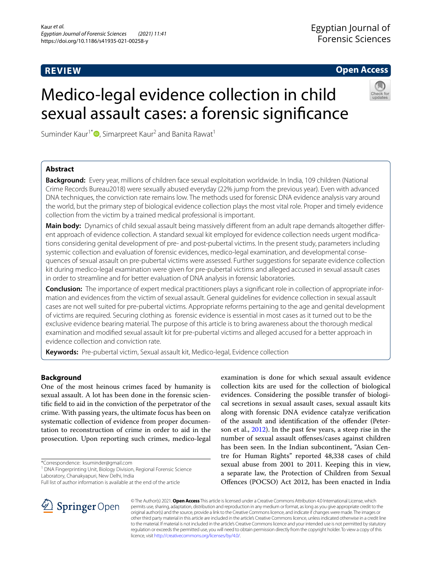# **REVIEW**

**Open Access**

# Medico-legal evidence collection in child sexual assault cases: a forensic signifcance

Suminder Kaur<sup>1\*</sup><sup>1</sup>[,](http://orcid.org/0000-0002-2106-0067) Simarpreet Kaur<sup>2</sup> and Banita Rawat<sup>1</sup>

# **Abstract**

**Background:** Every year, millions of children face sexual exploitation worldwide. In India, 109 children (National Crime Records Bureau2018) were sexually abused everyday (22% jump from the previous year). Even with advanced DNA techniques, the conviction rate remains low. The methods used for forensic DNA evidence analysis vary around the world, but the primary step of biological evidence collection plays the most vital role. Proper and timely evidence collection from the victim by a trained medical professional is important.

**Main body:** Dynamics of child sexual assault being massively diferent from an adult rape demands altogether diferent approach of evidence collection. A standard sexual kit employed for evidence collection needs urgent modifcations considering genital development of pre- and post-pubertal victims. In the present study, parameters including systemic collection and evaluation of forensic evidences, medico-legal examination, and developmental consequences of sexual assault on pre-pubertal victims were assessed. Further suggestions for separate evidence collection kit during medico-legal examination were given for pre-pubertal victims and alleged accused in sexual assault cases in order to streamline and for better evaluation of DNA analysis in forensic laboratories.

**Conclusion:** The importance of expert medical practitioners plays a signifcant role in collection of appropriate information and evidences from the victim of sexual assault. General guidelines for evidence collection in sexual assault cases are not well suited for pre-pubertal victims. Appropriate reforms pertaining to the age and genital development of victims are required. Securing clothing as forensic evidence is essential in most cases as it turned out to be the exclusive evidence bearing material. The purpose of this article is to bring awareness about the thorough medical examination and modifed sexual assault kit for pre-pubertal victims and alleged accused for a better approach in evidence collection and conviction rate.

**Keywords:** Pre-pubertal victim, Sexual assault kit, Medico-legal, Evidence collection

# **Background**

One of the most heinous crimes faced by humanity is sexual assault. A lot has been done in the forensic scientifc feld to aid in the conviction of the perpetrator of the crime. With passing years, the ultimate focus has been on systematic collection of evidence from proper documentation to reconstruction of crime in order to aid in the prosecution. Upon reporting such crimes, medico-legal

\*Correspondence: ksuminder@gmail.com

<sup>1</sup> DNA Fingerprinting Unit, Biology Division, Regional Forensic Science Laboratory, Chanakyapuri, New Delhi, India

examination is done for which sexual assault evidence collection kits are used for the collection of biological evidences. Considering the possible transfer of biological secretions in sexual assault cases, sexual assault kits along with forensic DNA evidence catalyze verifcation of the assault and identifcation of the ofender (Peterson et al., [2012\)](#page-5-0). In the past few years, a steep rise in the number of sexual assault offenses/cases against children has been seen. In the Indian subcontinent, "Asian Centre for Human Rights" reported 48,338 cases of child sexual abuse from 2001 to 2011. Keeping this in view, a separate law, the Protection of Children from Sexual Ofences (POCSO) Act 2012, has been enacted in India



© The Author(s) 2021. **Open Access** This article is licensed under a Creative Commons Attribution 4.0 International License, which permits use, sharing, adaptation, distribution and reproduction in any medium or format, as long as you give appropriate credit to the original author(s) and the source, provide a link to the Creative Commons licence, and indicate if changes were made. The images or other third party material in this article are included in the article's Creative Commons licence, unless indicated otherwise in a credit line to the material. If material is not included in the article's Creative Commons licence and your intended use is not permitted by statutory regulation or exceeds the permitted use, you will need to obtain permission directly from the copyright holder. To view a copy of this licence, visit [http://creativecommons.org/licenses/by/4.0/.](http://creativecommons.org/licenses/by/4.0/)

Full list of author information is available at the end of the article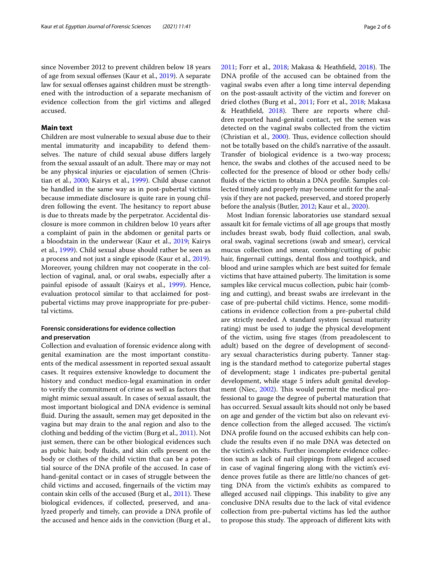since November 2012 to prevent children below 18 years of age from sexual offenses (Kaur et al., [2019](#page-5-1)). A separate law for sexual offenses against children must be strengthened with the introduction of a separate mechanism of evidence collection from the girl victims and alleged accused.

# **Main text**

Children are most vulnerable to sexual abuse due to their mental immaturity and incapability to defend themselves. The nature of child sexual abuse differs largely from the sexual assault of an adult. There may or may not be any physical injuries or ejaculation of semen (Christian et al., [2000](#page-4-0); Kairys et al., [1999](#page-5-2)). Child abuse cannot be handled in the same way as in post-pubertal victims because immediate disclosure is quite rare in young children following the event. The hesitancy to report abuse is due to threats made by the perpetrator. Accidental disclosure is more common in children below 10 years after a complaint of pain in the abdomen or genital parts or a bloodstain in the underwear (Kaur et al., [2019;](#page-5-1) Kairys et al., [1999\)](#page-5-2). Child sexual abuse should rather be seen as a process and not just a single episode (Kaur et al., [2019](#page-5-1)). Moreover, young children may not cooperate in the collection of vaginal, anal, or oral swabs, especially after a painful episode of assault (Kairys et al., [1999](#page-5-2)). Hence, evaluation protocol similar to that acclaimed for postpubertal victims may prove inappropriate for pre-pubertal victims.

# **Forensic considerations for evidence collection and preservation**

Collection and evaluation of forensic evidence along with genital examination are the most important constituents of the medical assessment in reported sexual assault cases. It requires extensive knowledge to document the history and conduct medico-legal examination in order to verify the commitment of crime as well as factors that might mimic sexual assault. In cases of sexual assault, the most important biological and DNA evidence is seminal fuid. During the assault, semen may get deposited in the vagina but may drain to the anal region and also to the clothing and bedding of the victim (Burg et al., [2011](#page-4-1)). Not just semen, there can be other biological evidences such as pubic hair, body fuids, and skin cells present on the body or clothes of the child victim that can be a potential source of the DNA profle of the accused. In case of hand-genital contact or in cases of struggle between the child victims and accused, fngernails of the victim may contain skin cells of the accused (Burg et al., [2011\)](#page-4-1). These biological evidences, if collected, preserved, and analyzed properly and timely, can provide a DNA profle of the accused and hence aids in the conviction (Burg et al., [2011](#page-4-1); Forr et al., [2018](#page-4-2); Makasa & Heathfield, [2018\)](#page-5-3). The DNA profle of the accused can be obtained from the vaginal swabs even after a long time interval depending on the post-assault activity of the victim and forever on dried clothes (Burg et al., [2011;](#page-4-1) Forr et al., [2018](#page-4-2); Makasa & Heathfield, [2018\)](#page-5-3). There are reports where children reported hand-genital contact, yet the semen was detected on the vaginal swabs collected from the victim (Christian et al., [2000\)](#page-4-0). Thus, evidence collection should not be totally based on the child's narrative of the assault. Transfer of biological evidence is a two-way process; hence, the swabs and clothes of the accused need to be collected for the presence of blood or other body cells/ fuids of the victim to obtain a DNA profle. Samples collected timely and properly may become unft for the analysis if they are not packed, preserved, and stored properly before the analysis (Butler, [2012](#page-4-3); Kaur et al., [2020\)](#page-5-4).

Most Indian forensic laboratories use standard sexual assault kit for female victims of all age groups that mostly includes breast swab, body fuid collection, anal swab, oral swab, vaginal secretions (swab and smear), cervical mucus collection and smear, combing/cutting of pubic hair, fingernail cuttings, dental floss and toothpick, and blood and urine samples which are best suited for female victims that have attained puberty. The limitation is some samples like cervical mucus collection, pubic hair (combing and cutting), and breast swabs are irrelevant in the case of pre-pubertal child victims. Hence, some modifcations in evidence collection from a pre-pubertal child are strictly needed. A standard system (sexual maturity rating) must be used to judge the physical development of the victim, using fve stages (from preadolescent to adult) based on the degree of development of secondary sexual characteristics during puberty. Tanner staging is the standard method to categorize pubertal stages of development; stage 1 indicates pre-pubertal genital development, while stage 5 infers adult genital develop-ment (Niec, [2002\)](#page-5-5). This would permit the medical professional to gauge the degree of pubertal maturation that has occurred. Sexual assault kits should not only be based on age and gender of the victim but also on relevant evidence collection from the alleged accused. The victim's DNA profle found on the accused exhibits can help conclude the results even if no male DNA was detected on the victim's exhibits. Further incomplete evidence collection such as lack of nail clippings from alleged accused in case of vaginal fngering along with the victim's evidence proves futile as there are little/no chances of getting DNA from the victim's exhibits as compared to alleged accused nail clippings. This inability to give any conclusive DNA results due to the lack of vital evidence collection from pre-pubertal victims has led the author to propose this study. The approach of different kits with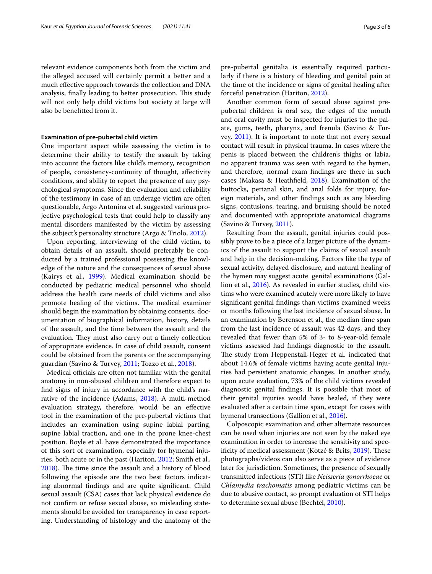relevant evidence components both from the victim and the alleged accused will certainly permit a better and a much efective approach towards the collection and DNA analysis, finally leading to better prosecution. This study will not only help child victims but society at large will also be beneftted from it.

## **Examination of pre‑pubertal child victim**

One important aspect while assessing the victim is to determine their ability to testify the assault by taking into account the factors like child's memory, recognition of people, consistency-continuity of thought, afectivity conditions, and ability to report the presence of any psychological symptoms. Since the evaluation and reliability of the testimony in case of an underage victim are often questionable, Argo Antonina et al. suggested various projective psychological tests that could help to classify any mental disorders manifested by the victim by assessing the subject's personality structure (Argo & Triolo, [2012](#page-4-4)).

Upon reporting, interviewing of the child victim, to obtain details of an assault, should preferably be conducted by a trained professional possessing the knowledge of the nature and the consequences of sexual abuse (Kairys et al., [1999\)](#page-5-2). Medical examination should be conducted by pediatric medical personnel who should address the health care needs of child victims and also promote healing of the victims. The medical examiner should begin the examination by obtaining consents, documentation of biographical information, history, details of the assault, and the time between the assault and the evaluation. They must also carry out a timely collection of appropriate evidence. In case of child assault, consent could be obtained from the parents or the accompanying guardian (Savino & Turvey, [2011;](#page-5-6) Tozzo et al., [2018\)](#page-5-7).

Medical officials are often not familiar with the genital anatomy in non-abused children and therefore expect to fnd signs of injury in accordance with the child's narrative of the incidence (Adams, [2018](#page-4-5)). A multi-method evaluation strategy, therefore, would be an efective tool in the examination of the pre-pubertal victims that includes an examination using supine labial parting, supine labial traction, and one in the prone knee-chest position. Boyle et al. have demonstrated the importance of this sort of examination, especially for hymenal injuries, both acute or in the past (Hariton, [2012;](#page-5-8) Smith et al., [2018](#page-5-9)). The time since the assault and a history of blood following the episode are the two best factors indicating abnormal fndings and are quite signifcant. Child sexual assault (CSA) cases that lack physical evidence do not confrm or refuse sexual abuse, so misleading statements should be avoided for transparency in case reporting. Understanding of histology and the anatomy of the pre-pubertal genitalia is essentially required particularly if there is a history of bleeding and genital pain at the time of the incidence or signs of genital healing after forceful penetration (Hariton, [2012](#page-5-8)).

Another common form of sexual abuse against prepubertal children is oral sex, the edges of the mouth and oral cavity must be inspected for injuries to the palate, gums, teeth, pharynx, and frenula (Savino & Turvey, [2011](#page-5-6)). It is important to note that not every sexual contact will result in physical trauma. In cases where the penis is placed between the children's thighs or labia, no apparent trauma was seen with regard to the hymen, and therefore, normal exam fndings are there in such cases (Makasa & Heathfeld, [2018](#page-5-3)). Examination of the buttocks, perianal skin, and anal folds for injury, foreign materials, and other fndings such as any bleeding signs, contusions, tearing, and bruising should be noted and documented with appropriate anatomical diagrams (Savino & Turvey, [2011](#page-5-6)).

Resulting from the assault, genital injuries could possibly prove to be a piece of a larger picture of the dynamics of the assault to support the claims of sexual assault and help in the decision-making. Factors like the type of sexual activity, delayed disclosure, and natural healing of the hymen may suggest acute genital examinations (Gallion et al., [2016\)](#page-5-10). As revealed in earlier studies, child victims who were examined acutely were more likely to have signifcant genital fndings than victims examined weeks or months following the last incidence of sexual abuse. In an examination by Berenson et al., the median time span from the last incidence of assault was 42 days, and they revealed that fewer than 5% of 3- to 8-year-old female victims assessed had fndings diagnostic to the assault. The study from Heppenstall-Heger et al. indicated that about 14.6% of female victims having acute genital injuries had persistent anatomic changes. In another study, upon acute evaluation, 73% of the child victims revealed diagnostic genital fndings. It is possible that most of their genital injuries would have healed, if they were evaluated after a certain time span, except for cases with hymenal transections (Gallion et al., [2016\)](#page-5-10).

Colposcopic examination and other alternate resources can be used when injuries are not seen by the naked eye examination in order to increase the sensitivity and spec-ificity of medical assessment (Kotzé & Brits, [2019\)](#page-5-11). These photographs/videos can also serve as a piece of evidence later for jurisdiction. Sometimes, the presence of sexually transmitted infections (STI) like *Neisseria gonorrhoeae* or *Chlamydia trachomatis* among pediatric victims can be due to abusive contact, so prompt evaluation of STI helps to determine sexual abuse (Bechtel, [2010\)](#page-4-6).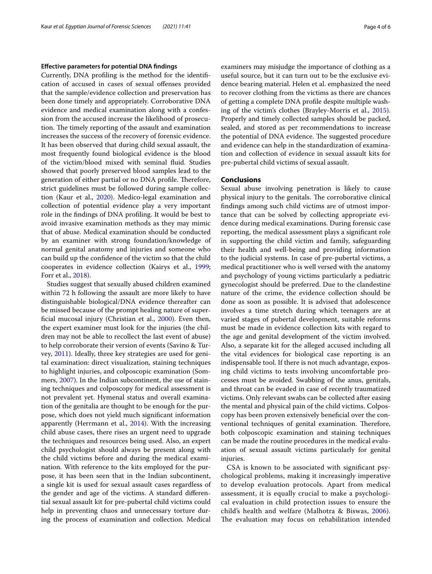## **Efective parameters for potential DNA fndings**

Currently, DNA profling is the method for the identifcation of accused in cases of sexual ofenses provided that the sample/evidence collection and preservation has been done timely and appropriately. Corroborative DNA evidence and medical examination along with a confession from the accused increase the likelihood of prosecution. The timely reporting of the assault and examination increases the success of the recovery of forensic evidence. It has been observed that during child sexual assault, the most frequently found biological evidence is the blood of the victim/blood mixed with seminal fuid. Studies showed that poorly preserved blood samples lead to the generation of either partial or no DNA profile. Therefore, strict guidelines must be followed during sample collection (Kaur et al., [2020\)](#page-5-4). Medico-legal examination and collection of potential evidence play a very important role in the fndings of DNA profling. It would be best to avoid invasive examination methods as they may mimic that of abuse. Medical examination should be conducted by an examiner with strong foundation/knowledge of normal genital anatomy and injuries and someone who can build up the confdence of the victim so that the child cooperates in evidence collection (Kairys et al., [1999](#page-5-2); Forr et al., [2018](#page-4-2)).

Studies suggest that sexually abused children examined within 72 h following the assault are more likely to have distinguishable biological/DNA evidence thereafter can be missed because of the prompt healing nature of superfcial mucosal injury (Christian et al., [2000](#page-4-0)). Even then, the expert examiner must look for the injuries (the children may not be able to recollect the last event of abuse) to help corroborate their version of events (Savino & Turvey, [2011\)](#page-5-6). Ideally, three key strategies are used for genital examination: direct visualization, staining techniques to highlight injuries, and colposcopic examination (Sommers, [2007\)](#page-5-12). In the Indian subcontinent, the use of staining techniques and colposcopy for medical assessment is not prevalent yet. Hymenal status and overall examination of the genitalia are thought to be enough for the purpose, which does not yield much signifcant information apparently (Herrmann et al., [2014](#page-5-13)). With the increasing child abuse cases, there rises an urgent need to upgrade the techniques and resources being used. Also, an expert child psychologist should always be present along with the child victims before and during the medical examination. With reference to the kits employed for the purpose, it has been seen that in the Indian subcontinent, a single kit is used for sexual assault cases regardless of the gender and age of the victims. A standard diferential sexual assault kit for pre-pubertal child victims could help in preventing chaos and unnecessary torture during the process of examination and collection. Medical examiners may misjudge the importance of clothing as a useful source, but it can turn out to be the exclusive evidence bearing material. Helen et al. emphasized the need to recover clothing from the victims as there are chances of getting a complete DNA profle despite multiple washing of the victim's clothes (Brayley-Morris et al., [2015](#page-4-7)). Properly and timely collected samples should be packed, sealed, and stored as per recommendations to increase the potential of DNA evidence. The suggested procedure and evidence can help in the standardization of examination and collection of evidence in sexual assault kits for pre-pubertal child victims of sexual assault.

## **Conclusions**

Sexual abuse involving penetration is likely to cause physical injury to the genitals. The corroborative clinical fndings among such child victims are of utmost importance that can be solved by collecting appropriate evidence during medical examinations. During forensic case reporting, the medical assessment plays a signifcant role in supporting the child victim and family, safeguarding their health and well-being and providing information to the judicial systems. In case of pre-pubertal victims, a medical practitioner who is well versed with the anatomy and psychology of young victims particularly a pediatric gynecologist should be preferred. Due to the clandestine nature of the crime, the evidence collection should be done as soon as possible. It is advised that adolescence involves a time stretch during which teenagers are at varied stages of pubertal development, suitable reforms must be made in evidence collection kits with regard to the age and genital development of the victim involved. Also, a separate kit for the alleged accused including all the vital evidences for biological case reporting is an indispensable tool. If there is not much advantage, exposing child victims to tests involving uncomfortable processes must be avoided. Swabbing of the anus, genitals, and throat can be evaded in case of recently traumatized victims. Only relevant swabs can be collected after easing the mental and physical pain of the child victims. Colposcopy has been proven extensively benefcial over the conventional techniques of genital examination. Therefore, both colposcopic examination and staining techniques can be made the routine procedures in the medical evaluation of sexual assault victims particularly for genital injuries.

CSA is known to be associated with signifcant psychological problems, making it increasingly imperative to develop evaluation protocols. Apart from medical assessment, it is equally crucial to make a psychological evaluation in child protection issues to ensure the child's health and welfare (Malhotra & Biswas, [2006\)](#page-5-14). The evaluation may focus on rehabilitation intended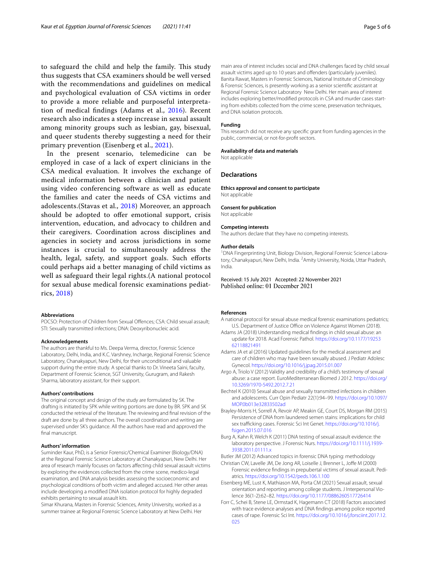to safeguard the child and help the family. This study thus suggests that CSA examiners should be well versed with the recommendations and guidelines on medical and psychological evaluation of CSA victims in order to provide a more reliable and purposeful interpretation of medical fndings (Adams et al., [2016\)](#page-4-8). Recent research also indicates a steep increase in sexual assault among minority groups such as lesbian, gay, bisexual, and queer students thereby suggesting a need for their primary prevention (Eisenberg et al., [2021\)](#page-4-9).

In the present scenario, telemedicine can be employed in case of a lack of expert clinicians in the CSA medical evaluation. It involves the exchange of medical information between a clinician and patient using video conferencing software as well as educate the families and cater the needs of CSA victims and adolescents.(Stavas et al., [2018](#page-5-15)) Moreover, an approach should be adopted to offer emotional support, crisis intervention, education, and advocacy to children and their caregivers. Coordination across disciplines and agencies in society and across jurisdictions in some instances is crucial to simultaneously address the health, legal, safety, and support goals. Such efforts could perhaps aid a better managing of child victims as well as safeguard their legal rights.(A national protocol for sexual abuse medical forensic examinations pediatrics, [2018](#page-4-10))

## **Abbreviations**

POCSO: Protection of Children from Sexual Offences; CSA: Child sexual assault; STI: Sexually transmitted infections; DNA: Deoxyribonucleic acid.

#### **Acknowledgements**

The authors are thankful to Ms. Deepa Verma, director, Forensic Science Laboratory, Delhi, India, and K.C. Varshney, Incharge, Regional Forensic Science Laboratory, Chanakyapuri, New Delhi, for their unconditional and valuable support during the entire study. A special thanks to Dr. Vineeta Saini, faculty, Department of Forensic Science, SGT University, Gurugram, and Rakesh Sharma, laboratory assistant, for their support.

#### **Authors' contributions**

The original concept and design of the study are formulated by SK. The drafting is initiated by SPK while writing portions are done by BR. SPK and SK conducted the retrieval of the literature. The reviewing and fnal revision of the draft are done by all three authors. The overall coordination and writing are supervised under SK's guidance. All the authors have read and approved the final manuscript.

## **Authors' information**

Suminder Kaur, PhD, is a Senior Forensic/Chemical Examiner (Biology/DNA) at the Regional Forensic Science Laboratory at Chanakyapuri, New Delhi. Her area of research mainly focuses on factors afecting child sexual assault victims by exploring the evidences collected from the crime scene, medico-legal examination, and DNA analysis besides assessing the socioeconomic and psychological conditions of both victim and alleged accused. Her other areas include developing a modifed DNA isolation protocol for highly degraded exhibits pertaining to sexual assault kits.

Simar Khurana, Masters in Forensic Sciences, Amity University, worked as a summer trainee at Regional Forensic Science Laboratory at New Delhi. Her

main area of interest includes social and DNA challenges faced by child sexual assault victims aged up to 10 years and offenders (particularly juveniles). Banita Rawat, Masters in Forensic Sciences, National Institute of Criminology & Forensic Sciences, is presently working as a senior scientifc assistant at Regional Forensic Science Laboratory New Delhi. Her main area of interest includes exploring better/modifed protocols in CSA and murder cases starting from exhibits collected from the crime scene, preservation techniques, and DNA isolation protocols.

#### **Funding**

This research did not receive any specifc grant from funding agencies in the public, commercial, or not-for-proft sectors.

#### **Availability of data and materials**

Not applicable

## **Declarations**

**Ethics approval and consent to participate** Not applicable

#### **Consent for publication**

Not applicable

#### **Competing interests**

The authors declare that they have no competing interests.

#### **Author details**

<sup>1</sup> DNA Fingerprinting Unit, Biology Division, Regional Forensic Science Laboratory, Chanakyapuri, New Delhi, India. <sup>2</sup> Amity University, Noida, Uttar Pradesh, India.

Received: 15 July 2021 Accepted: 22 November 2021 Published online: 01 December 2021

#### **References**

<span id="page-4-10"></span>A national protocol for sexual abuse medical forensic examinations pediatrics; U.S. Department of Justice Office on Violence Against Women (2018).

- <span id="page-4-5"></span>Adams JA (2018) Understanding medical fndings in child sexual abuse: an update for 2018. Acad Forensic Pathol. [https://doi.org/10.1177/19253](https://doi.org/10.1177/1925362118821491) [62118821491](https://doi.org/10.1177/1925362118821491)
- <span id="page-4-8"></span>Adams JA et al (2016) Updated guidelines for the medical assessment and care of children who may have been sexually abused. J Pediatr Adolesc Gynecol.<https://doi.org/10.1016/j.jpag.2015.01.007>
- <span id="page-4-4"></span>Argo A, Triolo V (2012) Validity and credibility of a child's testimony of sexual abuse: a case report. EuroMediterranean Biomed J 2012. [https://doi.org/](https://doi.org/10.3269/1970-5492.2012.7.21) [10.3269/1970-5492.2012.7.21](https://doi.org/10.3269/1970-5492.2012.7.21)
- <span id="page-4-6"></span>Bechtel K (2010) Sexual abuse and sexually transmitted infections in children and adolescents. Curr Opin Pediatr 22(1):94–99. [https://doi.org/10.1097/](https://doi.org/10.1097/MOP.0b013e32833502ad) [MOP.0b013e32833502ad](https://doi.org/10.1097/MOP.0b013e32833502ad)
- <span id="page-4-7"></span>Brayley-Morris H, Sorrell A, Revoir AP, Meakin GE, Court DS, Morgan RM (2015) Persistence of DNA from laundered semen stains: implications for child sex trafficking cases. Forensic Sci Int Genet. [https://doi.org/10.1016/j.](https://doi.org/10.1016/j.fsigen.2015.07.016) [fsigen.2015.07.016](https://doi.org/10.1016/j.fsigen.2015.07.016)
- <span id="page-4-1"></span>Burg A, Kahn R, Welch K (2011) DNA testing of sexual assault evidence: the laboratory perspective. J Forensic Nurs. [https://doi.org/10.1111/j.1939-](https://doi.org/10.1111/j.1939-3938.2011.01111.x) [3938.2011.01111.x](https://doi.org/10.1111/j.1939-3938.2011.01111.x)
- <span id="page-4-3"></span>Butler JM (2012) Advanced topics in forensic DNA typing: methodology
- <span id="page-4-0"></span>Christian CW, Lavelle JM, De Jong AR, Loiselle J, Brenner L, Jofe M (2000) Forensic evidence fndings in prepubertal victims of sexual assault. Pediatrics.<https://doi.org/10.1542/peds.106.1.100>
- <span id="page-4-9"></span>Eisenberg ME, Lust K, Mathiason MA, Porta CM (2021) Sexual assault, sexual orientation and reporting among college students. J Interpersonal Violence 36(1-2):62–82.<https://doi.org/10.1177/0886260517726414>
- <span id="page-4-2"></span>Forr C, Schei B, Stene LE, Ormstad K, Hagemann CT (2018) Factors associated with trace evidence analyses and DNA fndings among police reported cases of rape. Forensic Sci Int. [https://doi.org/10.1016/j.forsciint.2017.12.](https://doi.org/10.1016/j.forsciint.2017.12.025) [025](https://doi.org/10.1016/j.forsciint.2017.12.025)